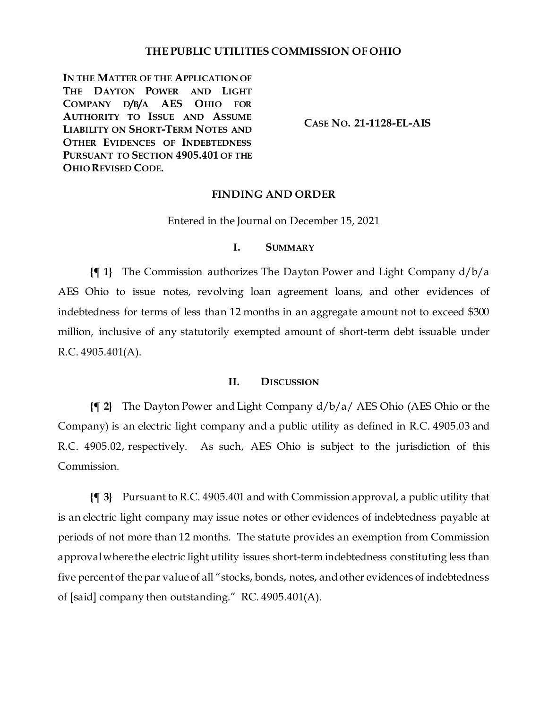## **THE PUBLIC UTILITIES COMMISSION OF OHIO**

**IN THE MATTER OF THE APPLICATION OF THE DAYTON POWER AND LIGHT COMPANY D/B/A AES OHIO FOR AUTHORITY TO ISSUE AND ASSUME LIABILITY ON SHORT-TERM NOTES AND OTHER EVIDENCES OF INDEBTEDNESS PURSUANT TO SECTION 4905.401 OF THE OHIO REVISED CODE.**

**CASE NO. 21-1128-EL-AIS**

### **FINDING AND ORDER**

Entered in the Journal on December 15, 2021

## **I. SUMMARY**

**{¶ 1}** The Commission authorizes The Dayton Power and Light Company d/b/a AES Ohio to issue notes, revolving loan agreement loans, and other evidences of indebtedness for terms of less than 12 months in an aggregate amount not to exceed \$300 million, inclusive of any statutorily exempted amount of short-term debt issuable under R.C. 4905.401(A).

### **II. DISCUSSION**

**{¶ 2}** The Dayton Power and Light Company d/b/a/ AES Ohio (AES Ohio or the Company) is an electric light company and a public utility as defined in R.C. 4905.03 and R.C. 4905.02, respectively. As such, AES Ohio is subject to the jurisdiction of this Commission.

**{¶ 3}** Pursuant to R.C. 4905.401 and with Commission approval, a public utility that is an electric light company may issue notes or other evidences of indebtedness payable at periods of not more than 12 months. The statute provides an exemption from Commission approval where the electric light utility issues short-term indebtedness constituting less than five percent of the par value of all "stocks, bonds, notes, and other evidences of indebtedness of [said] company then outstanding." RC. 4905.401(A).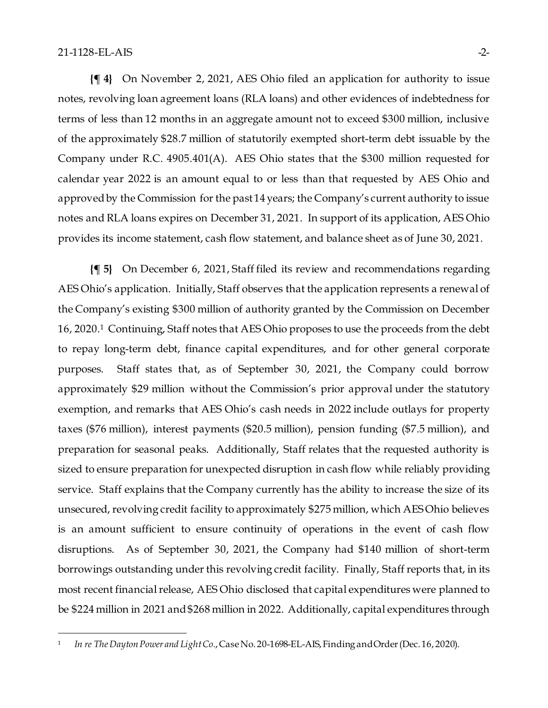**{¶ 4}** On November 2, 2021, AES Ohio filed an application for authority to issue notes, revolving loan agreement loans (RLA loans) and other evidences of indebtedness for terms of less than 12 months in an aggregate amount not to exceed \$300 million, inclusive of the approximately \$28.7 million of statutorily exempted short-term debt issuable by the Company under R.C. 4905.401(A). AES Ohio states that the \$300 million requested for calendar year 2022 is an amount equal to or less than that requested by AES Ohio and approved by the Commission for the past 14 years; the Company's current authority to issue notes and RLA loans expires on December 31, 2021. In support of its application, AES Ohio provides its income statement, cash flow statement, and balance sheet as of June 30, 2021.

**{¶ 5}** On December 6, 2021, Staff filed its review and recommendations regarding AES Ohio's application. Initially, Staff observes that the application represents a renewal of the Company's existing \$300 million of authority granted by the Commission on December 16, 2020. [1](#page-1-0) Continuing, Staff notes that AES Ohio proposes to use the proceeds from the debt to repay long-term debt, finance capital expenditures, and for other general corporate purposes. Staff states that, as of September 30, 2021, the Company could borrow approximately \$29 million without the Commission's prior approval under the statutory exemption, and remarks that AES Ohio's cash needs in 2022 include outlays for property taxes (\$76 million), interest payments (\$20.5 million), pension funding (\$7.5 million), and preparation for seasonal peaks. Additionally, Staff relates that the requested authority is sized to ensure preparation for unexpected disruption in cash flow while reliably providing service. Staff explains that the Company currently has the ability to increase the size of its unsecured, revolving credit facility to approximately \$275 million, which AES Ohio believes is an amount sufficient to ensure continuity of operations in the event of cash flow disruptions. As of September 30, 2021, the Company had \$140 million of short-term borrowings outstanding under this revolving credit facility. Finally, Staff reports that, in its most recent financial release, AES Ohio disclosed that capital expenditures were planned to be \$224 million in 2021 and \$268 million in 2022. Additionally, capital expenditures through

<span id="page-1-0"></span><sup>1</sup> *In re The Dayton Power and Light Co.*, Case No. 20-1698-EL-AIS, Finding and Order (Dec. 16, 2020).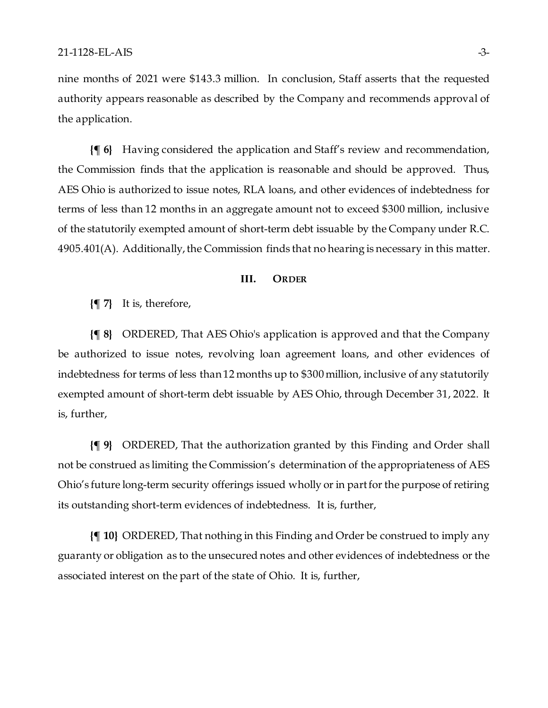nine months of 2021 were \$143.3 million. In conclusion, Staff asserts that the requested authority appears reasonable as described by the Company and recommends approval of the application.

**{¶ 6}** Having considered the application and Staff's review and recommendation, the Commission finds that the application is reasonable and should be approved. Thus, AES Ohio is authorized to issue notes, RLA loans, and other evidences of indebtedness for terms of less than 12 months in an aggregate amount not to exceed \$300 million, inclusive of the statutorily exempted amount of short-term debt issuable by the Company under R.C. 4905.401(A). Additionally, the Commission finds that no hearing is necessary in this matter.

#### **III. ORDER**

**{¶ 7}** It is, therefore,

**{¶ 8}** ORDERED, That AES Ohio's application is approved and that the Company be authorized to issue notes, revolving loan agreement loans, and other evidences of indebtedness for terms of less than 12 months up to \$300 million, inclusive of any statutorily exempted amount of short-term debt issuable by AES Ohio, through December 31, 2022. It is, further,

**{¶ 9}** ORDERED, That the authorization granted by this Finding and Order shall not be construed as limiting the Commission's determination of the appropriateness of AES Ohio's future long-term security offerings issued wholly or in part for the purpose of retiring its outstanding short-term evidences of indebtedness. It is, further,

**{¶ 10}** ORDERED, That nothing in this Finding and Order be construed to imply any guaranty or obligation as to the unsecured notes and other evidences of indebtedness or the associated interest on the part of the state of Ohio. It is, further,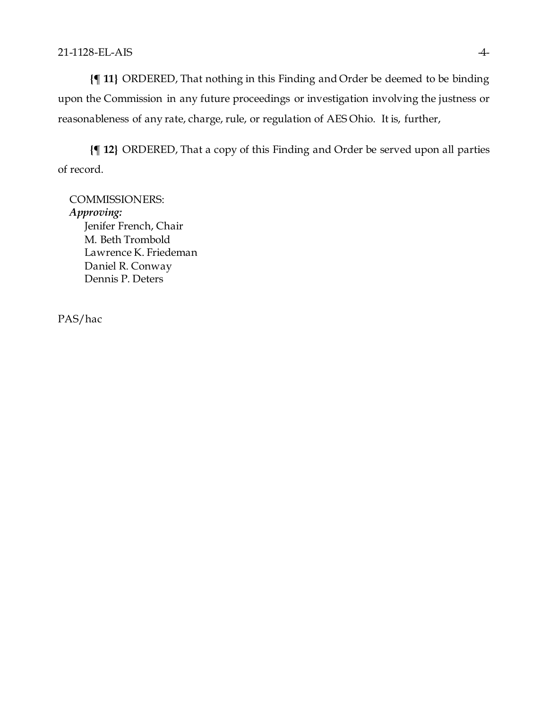**{¶ 11}** ORDERED, That nothing in this Finding and Order be deemed to be binding upon the Commission in any future proceedings or investigation involving the justness or reasonableness of any rate, charge, rule, or regulation of AES Ohio. It is, further,

**{¶ 12}** ORDERED, That a copy of this Finding and Order be served upon all parties of record.

COMMISSIONERS: *Approving:*  Jenifer French, Chair M. Beth Trombold Lawrence K. Friedeman Daniel R. Conway Dennis P. Deters

PAS/hac